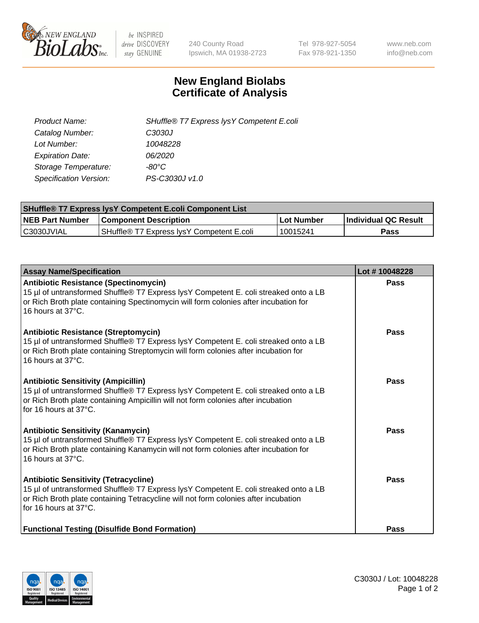

 $be$  INSPIRED drive DISCOVERY stay GENUINE

240 County Road Ipswich, MA 01938-2723 Tel 978-927-5054 Fax 978-921-1350 www.neb.com info@neb.com

## **New England Biolabs Certificate of Analysis**

| SHuffle® T7 Express lysY Competent E.coli |
|-------------------------------------------|
| C3030J                                    |
| 10048228                                  |
| 06/2020                                   |
| -80°C                                     |
| PS-C3030J v1.0                            |
|                                           |

| <b>SHuffle® T7 Express lysY Competent E.coli Component List</b> |                                           |                   |                             |  |
|-----------------------------------------------------------------|-------------------------------------------|-------------------|-----------------------------|--|
| <b>NEB Part Number</b>                                          | <b>Component Description</b>              | <b>Lot Number</b> | <b>Individual QC Result</b> |  |
| C3030JVIAL                                                      | SHuffle® T7 Express IysY Competent E.coli | 10015241          | Pass                        |  |

| <b>Assay Name/Specification</b>                                                                                                                                                                                                                            | Lot #10048228 |
|------------------------------------------------------------------------------------------------------------------------------------------------------------------------------------------------------------------------------------------------------------|---------------|
| <b>Antibiotic Resistance (Spectinomycin)</b><br>15 µl of untransformed Shuffle® T7 Express lysY Competent E. coli streaked onto a LB<br>or Rich Broth plate containing Spectinomycin will form colonies after incubation for<br>16 hours at 37°C.          | <b>Pass</b>   |
| <b>Antibiotic Resistance (Streptomycin)</b><br>15 µl of untransformed Shuffle® T7 Express lysY Competent E. coli streaked onto a LB<br>or Rich Broth plate containing Streptomycin will form colonies after incubation for<br>16 hours at 37°C.            | Pass          |
| <b>Antibiotic Sensitivity (Ampicillin)</b><br>15 µl of untransformed Shuffle® T7 Express lysY Competent E. coli streaked onto a LB<br>or Rich Broth plate containing Ampicillin will not form colonies after incubation<br>for 16 hours at $37^{\circ}$ C. | Pass          |
| <b>Antibiotic Sensitivity (Kanamycin)</b><br>15 µl of untransformed Shuffle® T7 Express lysY Competent E. coli streaked onto a LB<br>or Rich Broth plate containing Kanamycin will not form colonies after incubation for<br>16 hours at $37^{\circ}$ C.   | Pass          |
| <b>Antibiotic Sensitivity (Tetracycline)</b><br>15 µl of untransformed Shuffle® T7 Express lysY Competent E. coli streaked onto a LB<br>or Rich Broth plate containing Tetracycline will not form colonies after incubation<br>for 16 hours at 37°C.       | Pass          |
| <b>Functional Testing (Disulfide Bond Formation)</b>                                                                                                                                                                                                       | Pass          |